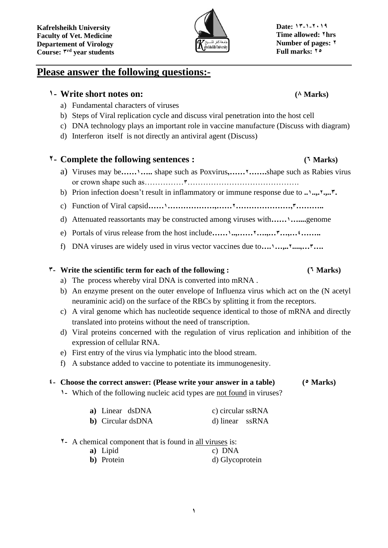

# **Please answer the following questions:-**

# **1- Write short notes on: (8) Marks)**

- a) Fundamental characters of viruses
- b) Steps of Viral replication cycle and discuss viral penetration into the host cell
- c) DNA technology plays an important role in vaccine manufacture (Discuss with diagram)
- d) Interferon itself is not directly an antiviral agent (Discuss)

## **2- Complete the following sentences : (6 Marks)**

- a) Viruses may be**……1…..** shape such as Poxvirus**,……2…….**shape such as Rabies virus or crown shape such as……………**3**…………………………………….
- b) Prion infection doesn't result in inflammatory or immune response due to **..1..,.2.,..3.**
- c) Function of Viral capsid**……1………………,……2…………………,3………..**
- d) Attenuated reassortants may be constructed among viruses with**……1…....**genome
- e) Portals of virus release from the host include**……1..,……2….,…3…,…4……..**
- f) DNA viruses are widely used in virus vector vaccines due to**….1…,..2....,…3….**

### **3- Write the scientific term for each of the following : (6 Marks)**

- a) The process whereby viral DNA is converted into mRNA .
- b) An enzyme present on the outer envelope of Influenza virus which act on the (N acetyl neuraminic acid) on the surface of the RBCs by splitting it from the receptors.
- c) A viral genome which has nucleotide sequence identical to those of mRNA and directly translated into proteins without the need of transcription.
- d) Viral proteins concerned with the regulation of virus replication and inhibition of the expression of cellular RNA.
- e) First entry of the virus via lymphatic into the blood stream.
- f) A substance added to vaccine to potentiate its immunogenesity.

### **4- Choose the correct answer: (Please write your answer in a table) (5 Marks)**

**1**

**1-** Which of the following nucleic acid types are not found in viruses?

| a) Linear dsDNA           | c) circular ssRNA |
|---------------------------|-------------------|
| <b>b</b> ) Circular dsDNA | d) linear ssRNA   |

**2-** A chemical component that is found in all viruses is:

| a) Lipid           | c) DNA          |
|--------------------|-----------------|
| <b>b</b> ) Protein | d) Glycoprotein |